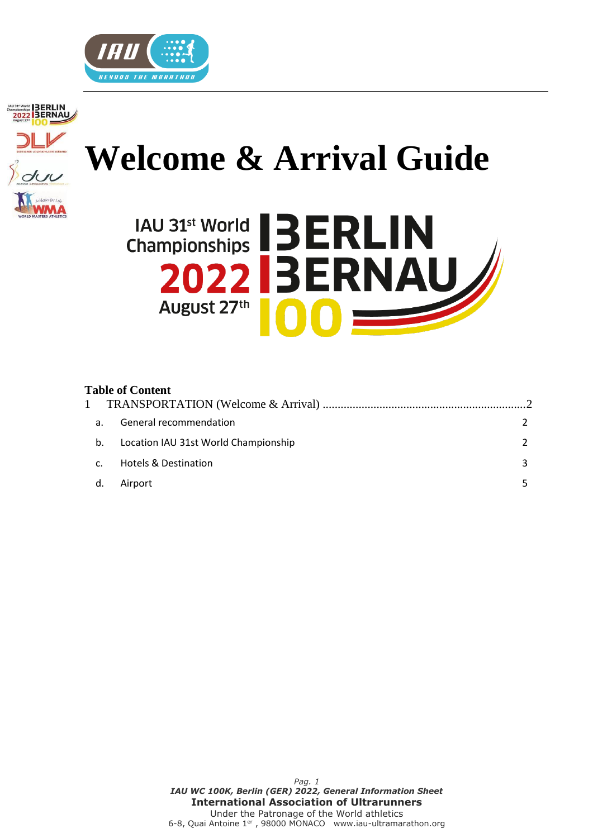



# **Welcome & Arrival Guide**



# **Table of Content**

| a.             | General recommendation               |  |
|----------------|--------------------------------------|--|
| b.             | Location IAU 31st World Championship |  |
| $\mathsf{C}$ . | <b>Hotels &amp; Destination</b>      |  |
| d.             | Airport                              |  |

*Pag. 1 IAU WC 100K, Berlin (GER) 2022, General Information Sheet*  **International Association of Ultrarunners** Under the Patronage of the World athletics 6-8, Quai Antoine 1er , 98000 MONACO www.iau-ultramarathon.org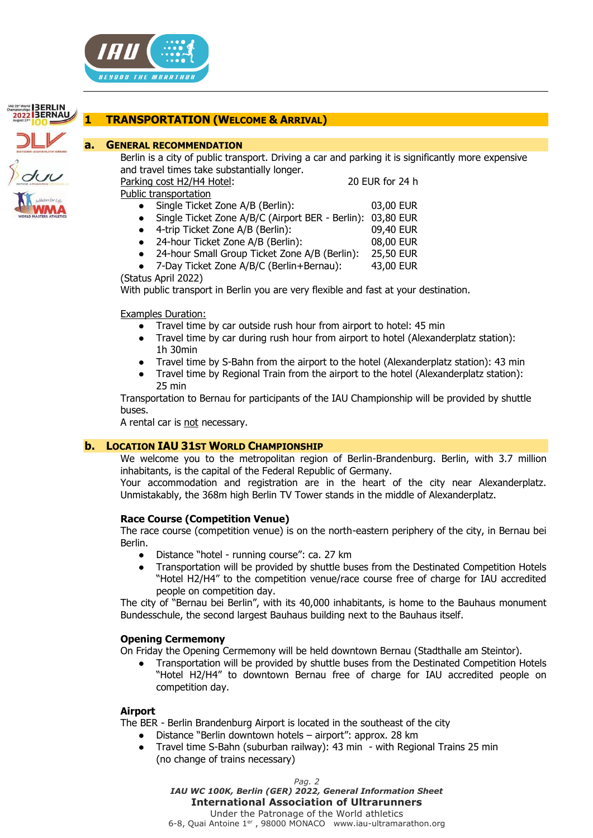



# <span id="page-1-0"></span>**1 TRANSPORTATION (WELCOME & ARRIVAL)**

## <span id="page-1-1"></span>**a. GENERAL RECOMMENDATION**

Berlin is a city of public transport. Driving a car and parking it is significantly more expensive and travel times take substantially longer.

Parking cost H2/H4 Hotel: 20 EUR for 24 h

Public transportation

- Single Ticket Zone A/B (Berlin): 03,00 EUR Single Ticket Zone A/B/C (Airport BER - Berlin): 03,80 EUR
	-
- 4-trip Ticket Zone A/B (Berlin): 09,40 EUR
- 24-hour Ticket Zone A/B (Berlin): 08,00 EUR
- 24-hour Small Group Ticket Zone A/B (Berlin): 25,50 EUR
- 7-Day Ticket Zone A/B/C (Berlin+Bernau): 43,00 EUR

(Status April 2022)

With public transport in Berlin you are very flexible and fast at your destination.

Examples Duration:

- Travel time by car outside rush hour from airport to hotel: 45 min
- Travel time by car during rush hour from airport to hotel (Alexanderplatz station): 1h 30min
- Travel time by S-Bahn from the airport to the hotel (Alexanderplatz station): 43 min
- Travel time by Regional Train from the airport to the hotel (Alexanderplatz station): 25 min

Transportation to Bernau for participants of the IAU Championship will be provided by shuttle buses.

A rental car is not necessary.

## <span id="page-1-2"></span>**b. LOCATION IAU 31ST WORLD CHAMPIONSHIP**

We welcome you to the metropolitan region of Berlin-Brandenburg. Berlin, with 3.7 million inhabitants, is the capital of the Federal Republic of Germany.

Your accommodation and registration are in the heart of the city near Alexanderplatz. Unmistakably, the 368m high Berlin TV Tower stands in the middle of Alexanderplatz.

## **Race Course (Competition Venue)**

The race course (competition venue) is on the north-eastern periphery of the city, in Bernau bei Berlin.

- Distance "hotel running course": ca. 27 km
- Transportation will be provided by shuttle buses from the Destinated Competition Hotels "Hotel H2/H4" to the competition venue/race course free of charge for IAU accredited people on competition day.

The city of "Bernau bei Berlin", with its 40,000 inhabitants, is home to the Bauhaus monument Bundesschule, the second largest Bauhaus building next to the Bauhaus itself.

#### **Opening Cermemony**

On Friday the Opening Cermemony will be held downtown Bernau (Stadthalle am Steintor).

● Transportation will be provided by shuttle buses from the Destinated Competition Hotels "Hotel H2/H4" to downtown Bernau free of charge for IAU accredited people on competition day.

#### **Airport**

The BER - Berlin Brandenburg Airport is located in the southeast of the city

- Distance "Berlin downtown hotels airport": approx. 28 km
- Travel time S-Bahn (suburban railway): 43 min with Regional Trains 25 min (no change of trains necessary)

*Pag. 2*

*IAU WC 100K, Berlin (GER) 2022, General Information Sheet*  **International Association of Ultrarunners** Under the Patronage of the World athletics

6-8, Quai Antoine 1<sup>er</sup>, 98000 MONACO www.iau-ultramarathon.org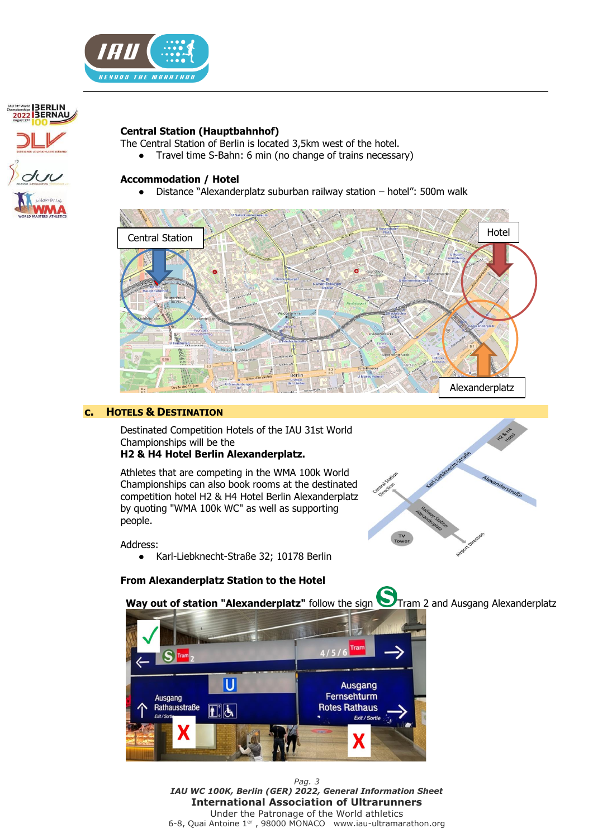



## **Central Station (Hauptbahnhof)**

The Central Station of Berlin is located 3,5km west of the hotel.

● Travel time S-Bahn: 6 min (no change of trains necessary)

#### **Accommodation / Hotel**

● Distance "Alexanderplatz suburban railway station – hotel": 500m walk



#### <span id="page-2-0"></span>**c. HOTELS & DESTINATION**

Destinated Competition Hotels of the IAU 31st World Championships will be the

# **H2 & H4 Hotel Berlin Alexanderplatz.**

Athletes that are competing in the WMA 100k World Championships can also book rooms at the destinated competition hotel H2 & H4 Hotel Berlin Alexanderplatz by quoting "WMA 100k WC" as well as supporting people.

Address:

● Karl-Liebknecht-Straße 32; 10178 Berlin

#### **From Alexanderplatz Station to the Hotel**



**Way out of station "Alexanderplatz"** follow the sign **Tram 2 and Ausgang Alexanderplatz** 



*Pag. 3 IAU WC 100K, Berlin (GER) 2022, General Information Sheet*  **International Association of Ultrarunners** Under the Patronage of the World athletics 6-8, Quai Antoine 1er , 98000 MONACO www.iau-ultramarathon.org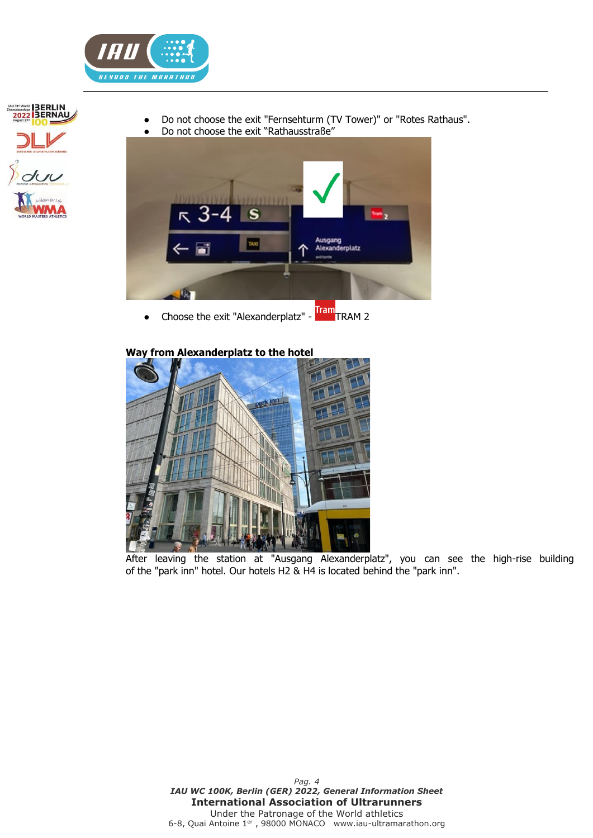



Do not choose the exit "Fernsehturm (TV Tower)" or "Rotes Rathaus". Do not choose the exit "Rathausstraße"



• Choose the exit "Alexanderplatz" - Tram<sub>TRAM 2</sub>

**Way from Alexanderplatz to the hotel**



After leaving the station at "Ausgang Alexanderplatz", you can see the high-rise building of the "park inn" hotel. Our hotels H2 & H4 is located behind the "park inn".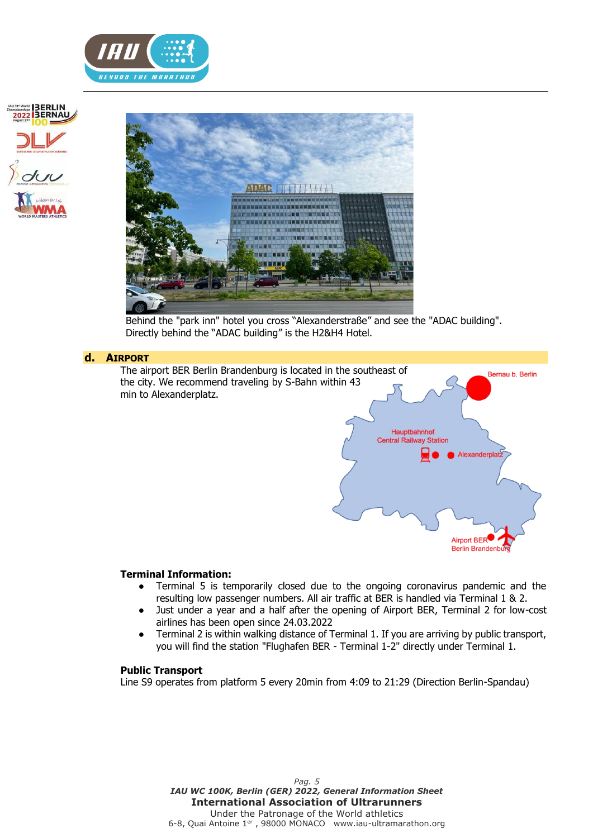





Behind the "park inn" hotel you cross "Alexanderstraße" and see the "ADAC building". Directly behind the "ADAC building" is the H2&H4 Hotel.

#### <span id="page-4-0"></span>**d. AIRPORT**



#### **Terminal Information:**

- Terminal 5 is temporarily closed due to the ongoing coronavirus pandemic and the resulting low passenger numbers. All air traffic at BER is handled via Terminal 1 & 2.
- Just under a year and a half after the opening of Airport BER, Terminal 2 for low-cost airlines has been open since 24.03.2022
- Terminal 2 is within walking distance of Terminal 1. If you are arriving by public transport, you will find the station "Flughafen BER - Terminal 1-2" directly under Terminal 1.

#### **Public Transport**

Line S9 operates from platform 5 every 20min from 4:09 to 21:29 (Direction Berlin-Spandau)

*Pag. 5 IAU WC 100K, Berlin (GER) 2022, General Information Sheet*  **International Association of Ultrarunners** Under the Patronage of the World athletics 6-8, Quai Antoine 1<sup>er</sup>, 98000 MONACO www.iau-ultramarathon.org